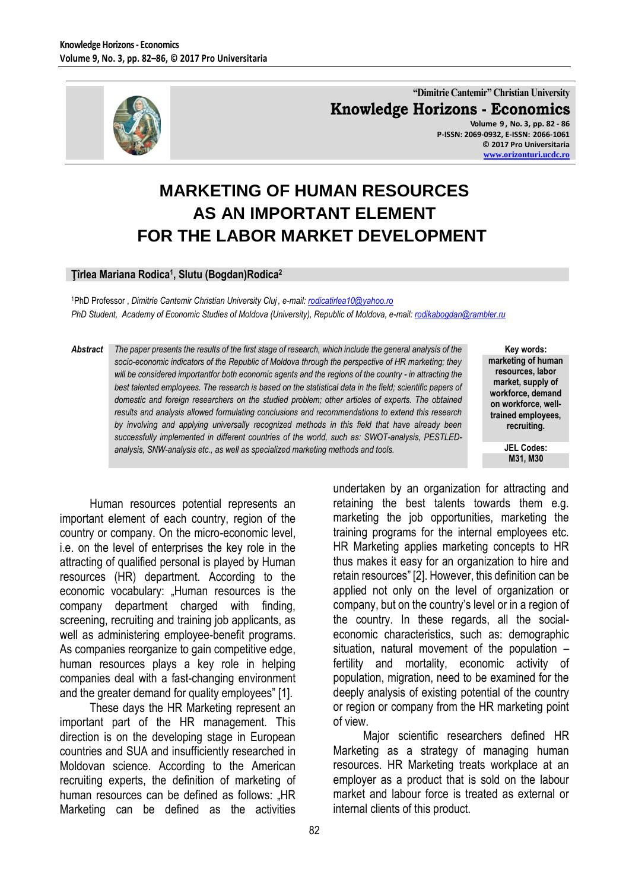

**"Dimitrie Cantemir" Christian University Knowledge Horizons - Economics Volume 9 , No. 3, pp. 82 - 86 P-ISSN: 2069-0932, E-ISSN: 2066-1061 © 2017 Pro Universitaria**

**[www.orizonturi.ucdc.ro](http://www.orizonturi.ucdc.ro/)**

# **MARKETING OF HUMAN RESOURCES AS AN IMPORTANT ELEMENT FOR THE LABOR MARKET DEVELOPMENT**

#### **Ţîrlea Mariana Rodica<sup>1</sup> , Slutu (Bogdan)Rodica<sup>2</sup>**

<sup>1</sup>PhD Professor , *Dimitrie Cantemir Christian University Cluj , e-mail[: rodicatirlea10@yahoo.ro](mailto:rodicatirlea10@yahoo.ro)  PhD Student, Academy of Economic Studies of Moldova (University), Republic of Moldova, e-mail[: rodikabogdan@rambler.ru](mailto:rodikabogdan@rambler.ru)*

*Abstract The paper presents the results of the first stage of research, which include the general analysis of the socio-economic indicators of the Republic of Moldova through the perspective of HR marketing; they will be considered importantfor both economic agents and the regions of the country - in attracting the best talented employees. The research is based on the statistical data in the field; scientific papers of domestic and foreign researchers on the studied problem; other articles of experts. The obtained results and analysis allowed formulating conclusions and recommendations to extend this research by involving and applying universally recognized methods in this field that have already been successfully implemented in different countries of the world, such as: SWOT-analysis, PESTLEDanalysis, SNW-analysis etc., as well as specialized marketing methods and tools.*

**Key words: marketing of human resources, labor market, supply of workforce, demand on workforce, welltrained employees, recruiting.**

> **JEL Codes: M31, M30**

Human resources potential represents an important element of each country, region of the country or company. On the micro-economic level, i.e. on the level of enterprises the key role in the attracting of qualified personal is played by Human resources (HR) department. According to the economic vocabulary: "Human resources is the company department charged with finding, screening, recruiting and training job applicants, as well as administering employee-benefit programs. As companies reorganize to gain competitive edge, human resources plays a key role in helping companies deal with a fast-changing environment and the greater demand for quality employees" [1].

These days the HR Marketing represent an important part of the HR management. This direction is on the developing stage in European countries and SUA and insufficiently researched in Moldovan science. According to the American recruiting experts, the definition of marketing of human resources can be defined as follows: "HR Marketing can be defined as the activities

undertaken by an organization for attracting and retaining the best talents towards them e.g. marketing the job opportunities, marketing the training programs for the internal employees etc. HR Marketing applies marketing concepts to HR thus makes it easy for an organization to hire and retain resources" [2]. However, this definition can be applied not only on the level of organization or company, but on the country's level or in a region of the country. In these regards, all the socialeconomic characteristics, such as: demographic situation, natural movement of the population – fertility and mortality, economic activity of population, migration, need to be examined for the deeply analysis of existing potential of the country or region or company from the HR marketing point of view.

Major scientific researchers defined HR Marketing as a strategy of managing human resources. HR Marketing treats workplace at an employer as a product that is sold on the labour market and labour force is treated as external or internal clients of this product.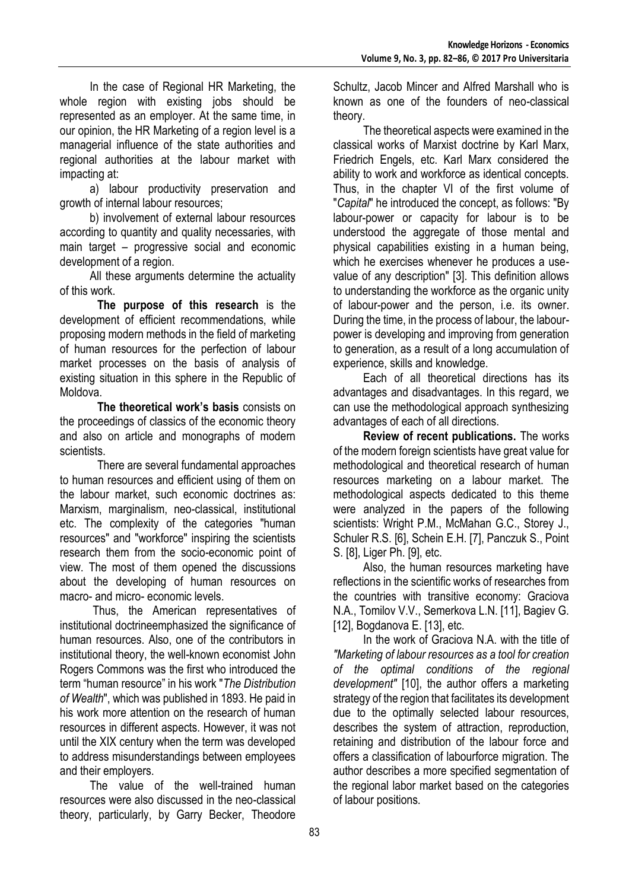In the case of Regional HR Marketing, the whole region with existing jobs should be represented as an employer. At the same time, in our opinion, the HR Marketing of a region level is a managerial influence of the state authorities and regional authorities at the labour market with impacting at:

a) labour productivity preservation and growth of internal labour resources;

b) involvement of external labour resources according to quantity and quality necessaries, with main target – progressive social and economic development of a region.

All these arguments determine the actuality of this work.

**The purpose of this research** is the development of efficient recommendations, while proposing modern methods in the field of marketing of human resources for the perfection of labour market processes on the basis of analysis of existing situation in this sphere in the Republic of Moldova.

**The theoretical work's basis** consists on the proceedings of classics of the economic theory and also on article and monographs of modern scientists.

There are several fundamental approaches to human resources and efficient using of them on the labour market, such economic doctrines as: Marxism, marginalism, neo-classical, institutional etc. The complexity of the categories "human resources" and "workforce" inspiring the scientists research them from the socio-economic point of view. The most of them opened the discussions about the developing of human resources on macro- and micro- economic levels.

Thus, the American representatives of institutional doctrineemphasized the significance of human resources. Also, one of the contributors in institutional theory, the well-known economist John Rogers Commons was the first who introduced the term "human resource" in his work "*The Distribution of Wealth*", which was published in 1893. He paid in his work more attention on the research of human resources in different aspects. However, it was not until the XIX century when the term was developed to address misunderstandings between employees and their employers.

The value of the well-trained human resources were also discussed in the neo-classical theory, particularly, by Garry Becker, Theodore Schultz, Jacob Mincer and Alfred Marshall who is known as one of the founders of neo-classical theory.

The theoretical aspects were examined in the classical works of Marxist doctrine by Karl Marx, Friedrich Engels, etc. Karl Marx considered the ability to work and workforce as identical concepts. Thus, in the chapter VI of the first volume of "*Capital*" he introduced the concept, as follows: "By labour-power or capacity for labour is to be understood the aggregate of those mental and physical capabilities existing in a human being, which he exercises whenever he produces a usevalue of any description" [3]. This definition allows to understanding the workforce as the organic unity of labour-power and the person, i.e. its owner. During the time, in the process of labour, the labourpower is developing and improving from generation to generation, as a result of a long accumulation of experience, skills and knowledge.

Each of all theoretical directions has its advantages and disadvantages. In this regard, we can use the methodological approach synthesizing advantages of each of all directions.

**Review of recent publications.** The works of the modern foreign scientists have great value for methodological and theoretical research of human resources marketing on a labour market. The methodological aspects dedicated to this theme were analyzed in the papers of the following scientists: Wright P.M., McMahan G.C., Storey J., Schuler R.S. [6], Schein E.H. [7], Panczuk S., Point S. [8], Liger Ph. [9], etc.

Also, the human resources marketing have reflections in the scientific works of researches from the countries with transitive economy: Graciova N.A., Tomilov V.V., Semerkova L.N. [11], Bagiev G. [12], Bogdanova E. [13], etc.

In the work of Graciova N.A. with the title of *"Marketing of labour resources as a tool for creation of the optimal conditions of the regional development"* [10], the author offers a marketing strategy of the region that facilitates its development due to the optimally selected labour resources, describes the system of attraction, reproduction, retaining and distribution of the labour force and offers a classification of labourforce migration. The author describes a more specified segmentation of the regional labor market based on the categories of labour positions.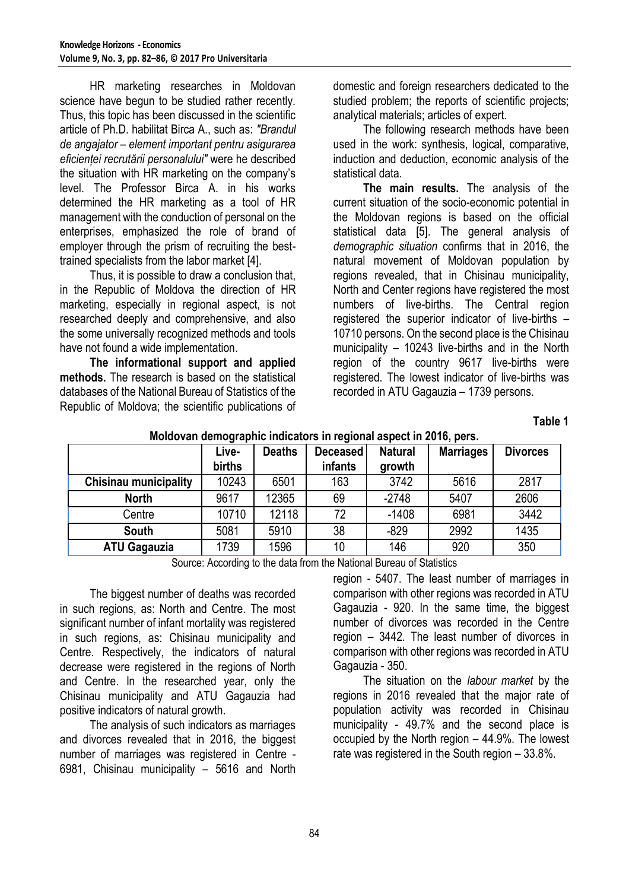HR marketing researches in Moldovan science have begun to be studied rather recently. Thus, this topic has been discussed in the scientific article of Ph.D. habilitat Birca A., such as: *"Brandul de angajator – element important pentru asigurarea eficienței recrutării personalului"* were he described the situation with HR marketing on the company's level. The Professor Birca A. in his works determined the HR marketing as a tool of HR management with the conduction of personal on the enterprises, emphasized the role of brand of employer through the prism of recruiting the besttrained specialists from the labor market [4].

Thus, it is possible to draw a conclusion that, in the Republic of Moldova the direction of HR marketing, especially in regional aspect, is not researched deeply and comprehensive, and also the some universally recognized methods and tools have not found a wide implementation.

**The informational support and applied methods.** The research is based on the statistical databases of the National Bureau of Statistics of the Republic of Moldova; the scientific publications of

domestic and foreign researchers dedicated to the studied problem; the reports of scientific projects; analytical materials; articles of expert.

The following research methods have been used in the work: synthesis, logical, comparative, induction and deduction, economic analysis of the statistical data.

**The main results.** The analysis of the current situation of the socio-economic potential in the Moldovan regions is based on the official statistical data [5]. The general analysis of *demographic situation* confirms that in 2016, the natural movement of Moldovan population by regions revealed, that in Chisinau municipality, North and Center regions have registered the most numbers of live-births. The Central region registered the superior indicator of live-births – 10710 persons. On the second place is the Chisinau municipality – 10243 live-births and in the North region of the country 9617 live-births were registered. The lowest indicator of live-births was recorded in ATU Gagauzia – 1739 persons.

**Table 1**

| moldo ran domographio maloatoro in regional dopoot in Evilo, porol |        |               |          |                |                  |                 |  |  |  |
|--------------------------------------------------------------------|--------|---------------|----------|----------------|------------------|-----------------|--|--|--|
|                                                                    | Live-  | <b>Deaths</b> | Deceased | <b>Natural</b> | <b>Marriages</b> | <b>Divorces</b> |  |  |  |
|                                                                    | births |               | infants  | growth         |                  |                 |  |  |  |
| <b>Chisinau municipality</b>                                       | 10243  | 6501          | 163      | 3742           | 5616             | 2817            |  |  |  |
| <b>North</b>                                                       | 9617   | 12365         | 69       | $-2748$        | 5407             | 2606            |  |  |  |
| Centre                                                             | 10710  | 12118         | 72       | $-1408$        | 6981             | 3442            |  |  |  |
| <b>South</b>                                                       | 5081   | 5910          | 38       | $-829$         | 2992             | 1435            |  |  |  |
| <b>ATU Gagauzia</b>                                                | 1739   | 1596          | 10       | 146            | 920              | 350             |  |  |  |

## **Moldovan demographic indicators in regional aspect in 2016, pers.**

Source: According to the data from the National Bureau of Statistics

The biggest number of deaths was recorded in such regions, as: North and Centre. The most significant number of infant mortality was registered in such regions, as: Chisinau municipality and Centre. Respectively, the indicators of natural decrease were registered in the regions of North and Centre. In the researched year, only the Chisinau municipality and ATU Gagauzia had positive indicators of natural growth.

The analysis of such indicators as marriages and divorces revealed that in 2016, the biggest number of marriages was registered in Centre - 6981, Chisinau municipality – 5616 and North region - 5407. The least number of marriages in comparison with other regions was recorded in ATU Gagauzia - 920. In the same time, the biggest number of divorces was recorded in the Centre region – 3442. The least number of divorces in comparison with other regions was recorded in ATU Gagauzia - 350.

The situation on the *labour market* by the regions in 2016 revealed that the major rate of population activity was recorded in Chisinau municipality - 49.7% and the second place is occupied by the North region – 44.9%. The lowest rate was registered in the South region – 33.8%.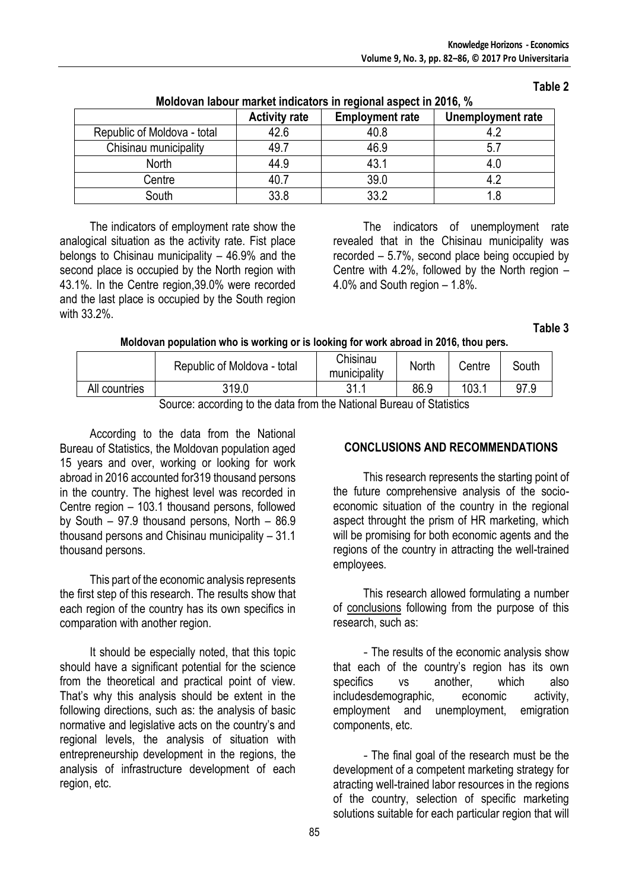| <b>MONOTAN NOVAL MANUEL MANUEL DE LA 1990 IN AVIOLA DE LA 1990 IN 1990</b> |                      |                        |                   |  |  |  |  |
|----------------------------------------------------------------------------|----------------------|------------------------|-------------------|--|--|--|--|
|                                                                            | <b>Activity rate</b> | <b>Employment rate</b> | Unemployment rate |  |  |  |  |
| Republic of Moldova - total                                                | 42.6                 | 40.8                   |                   |  |  |  |  |
| Chisinau municipality                                                      | 49.7                 | 46.9                   |                   |  |  |  |  |
| <b>North</b>                                                               | 44.9                 | 43.1                   |                   |  |  |  |  |
| Centre                                                                     | 40.7                 | 39.0                   |                   |  |  |  |  |
| South                                                                      | 33.8                 | 33.2                   |                   |  |  |  |  |

#### **Moldovan labour market indicators in regional aspect in 2016, %**

The indicators of employment rate show the analogical situation as the activity rate. Fist place belongs to Chisinau municipality – 46.9% and the second place is occupied by the North region with 43.1%. In the Centre region,39.0% were recorded and the last place is occupied by the South region with 33.2%.

The indicators of unemployment rate revealed that in the Chisinau municipality was recorded – 5.7%, second place being occupied by Centre with 4.2%, followed by the North region  $-$ 4.0% and South region – 1.8%.

**Table 3**

**Table 2**

#### **Moldovan population who is working or is looking for work abroad in 2016, thou pers.**

|                                                                        | Republic of Moldova - total | Chisinau<br>municipality | North | Centre | South |  |  |  |
|------------------------------------------------------------------------|-----------------------------|--------------------------|-------|--------|-------|--|--|--|
| All countries                                                          | 319.0                       | 211                      | 86.9  | 103.1  | 97.9  |  |  |  |
| Coursey seconding to the data from the National Durance of Ctatistics. |                             |                          |       |        |       |  |  |  |

Source: according to the data from the National Bureau of Statistics

According to the data from the National Bureau of Statistics, the Moldovan population aged 15 years and over, working or looking for work abroad in 2016 accounted for319 thousand persons in the country. The highest level was recorded in Centre region – 103.1 thousand persons, followed by South – 97.9 thousand persons, North – 86.9 thousand persons and Chisinau municipality – 31.1 thousand persons.

This part of the economic analysis represents the first step of this research. The results show that each region of the country has its own specifics in comparation with another region.

It should be especially noted, that this topic should have a significant potential for the science from the theoretical and practical point of view. That's why this analysis should be extent in the following directions, such as: the analysis of basic normative and legislative acts on the country's and regional levels, the analysis of situation with entrepreneurship development in the regions, the analysis of infrastructure development of each region, etc.

## **CONCLUSIONS AND RECOMMENDATIONS**

This research represents the starting point of the future comprehensive analysis of the socioeconomic situation of the country in the regional aspect throught the prism of HR marketing, which will be promising for both economic agents and the regions of the country in attracting the well-trained employees.

This research allowed formulating a number of conclusions following from the purpose of this research, such as:

- The results of the economic analysis show that each of the country's region has its own specifics vs another, which also includesdemographic, economic activity, employment and unemployment, emigration components, etc.

- The final goal of the research must be the development of a competent marketing strategy for atracting well-trained labor resources in the regions of the country, selection of specific marketing solutions suitable for each particular region that will